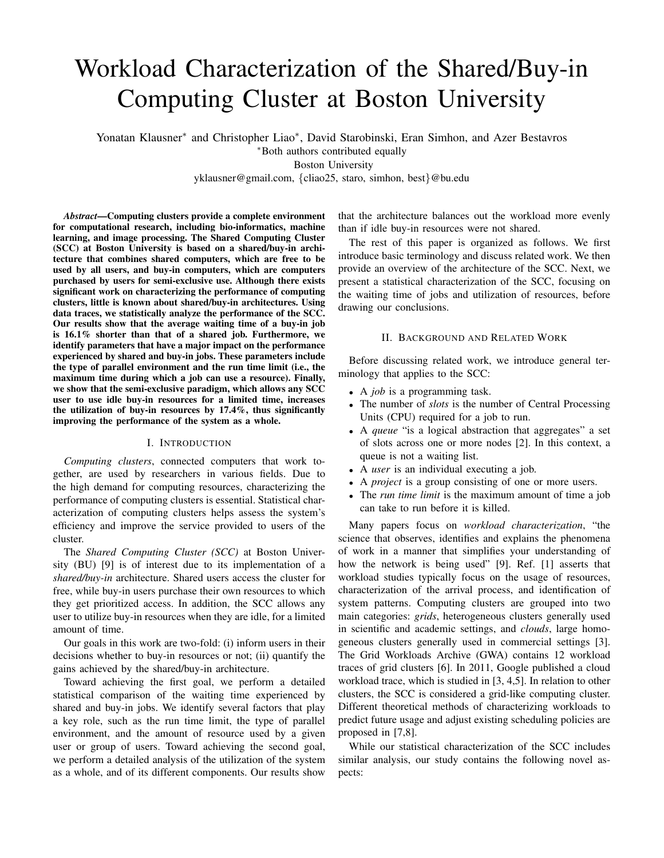# Workload Characterization of the Shared/Buy-in Computing Cluster at Boston University

Yonatan Klausner<sup>∗</sup> and Christopher Liao<sup>\*</sup>, David Starobinski, Eran Simhon, and Azer Bestavros <sup>∗</sup>Both authors contributed equally Boston University yklausner@gmail.com, {cliao25, staro, simhon, best}@bu.edu

*Abstract*—Computing clusters provide a complete environment for computational research, including bio-informatics, machine learning, and image processing. The Shared Computing Cluster (SCC) at Boston University is based on a shared/buy-in architecture that combines shared computers, which are free to be used by all users, and buy-in computers, which are computers purchased by users for semi-exclusive use. Although there exists significant work on characterizing the performance of computing clusters, little is known about shared/buy-in architectures. Using data traces, we statistically analyze the performance of the SCC. Our results show that the average waiting time of a buy-in job is 16.1% shorter than that of a shared job. Furthermore, we identify parameters that have a major impact on the performance experienced by shared and buy-in jobs. These parameters include the type of parallel environment and the run time limit (i.e., the maximum time during which a job can use a resource). Finally, we show that the semi-exclusive paradigm, which allows any SCC user to use idle buy-in resources for a limited time, increases the utilization of buy-in resources by 17.4%, thus significantly improving the performance of the system as a whole.

## I. INTRODUCTION

*Computing clusters*, connected computers that work together, are used by researchers in various fields. Due to the high demand for computing resources, characterizing the performance of computing clusters is essential. Statistical characterization of computing clusters helps assess the system's efficiency and improve the service provided to users of the cluster.

The *Shared Computing Cluster (SCC)* at Boston University (BU) [9] is of interest due to its implementation of a *shared/buy-in* architecture. Shared users access the cluster for free, while buy-in users purchase their own resources to which they get prioritized access. In addition, the SCC allows any user to utilize buy-in resources when they are idle, for a limited amount of time.

Our goals in this work are two-fold: (i) inform users in their decisions whether to buy-in resources or not; (ii) quantify the gains achieved by the shared/buy-in architecture.

Toward achieving the first goal, we perform a detailed statistical comparison of the waiting time experienced by shared and buy-in jobs. We identify several factors that play a key role, such as the run time limit, the type of parallel environment, and the amount of resource used by a given user or group of users. Toward achieving the second goal, we perform a detailed analysis of the utilization of the system as a whole, and of its different components. Our results show that the architecture balances out the workload more evenly than if idle buy-in resources were not shared.

The rest of this paper is organized as follows. We first introduce basic terminology and discuss related work. We then provide an overview of the architecture of the SCC. Next, we present a statistical characterization of the SCC, focusing on the waiting time of jobs and utilization of resources, before drawing our conclusions.

## II. BACKGROUND AND RELATED WORK

Before discussing related work, we introduce general terminology that applies to the SCC:

- A *job* is a programming task.
- The number of *slots* is the number of Central Processing Units (CPU) required for a job to run.
- A *queue* "is a logical abstraction that aggregates" a set of slots across one or more nodes [2]. In this context, a queue is not a waiting list.
- A *user* is an individual executing a job.
- A *project* is a group consisting of one or more users.
- The *run time limit* is the maximum amount of time a job can take to run before it is killed.

Many papers focus on *workload characterization*, "the science that observes, identifies and explains the phenomena of work in a manner that simplifies your understanding of how the network is being used" [9]. Ref. [1] asserts that workload studies typically focus on the usage of resources, characterization of the arrival process, and identification of system patterns. Computing clusters are grouped into two main categories: *grids*, heterogeneous clusters generally used in scientific and academic settings, and *clouds*, large homogeneous clusters generally used in commercial settings [3]. The Grid Workloads Archive (GWA) contains 12 workload traces of grid clusters [6]. In 2011, Google published a cloud workload trace, which is studied in [3, 4,5]. In relation to other clusters, the SCC is considered a grid-like computing cluster. Different theoretical methods of characterizing workloads to predict future usage and adjust existing scheduling policies are proposed in [7,8].

While our statistical characterization of the SCC includes similar analysis, our study contains the following novel aspects: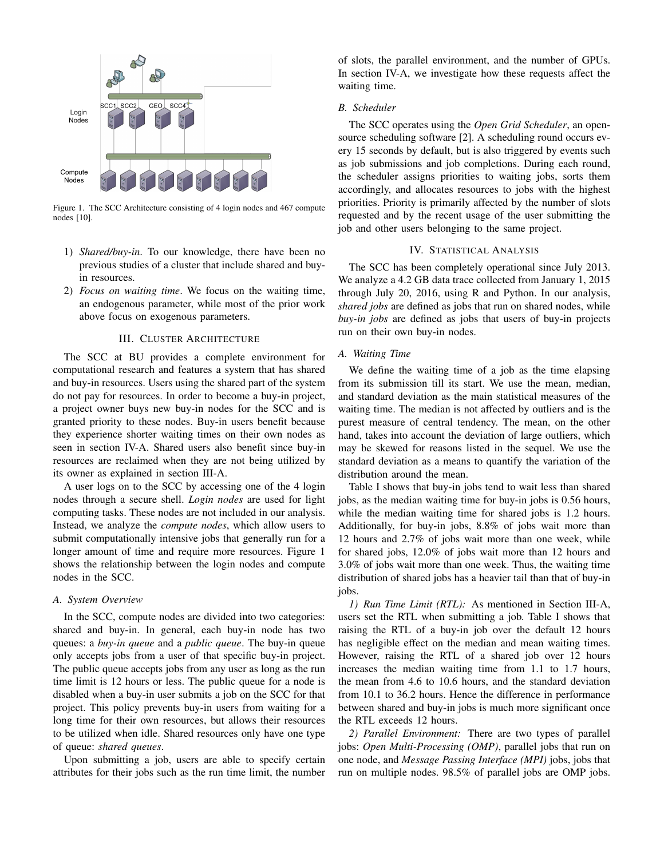

Figure 1. The SCC Architecture consisting of 4 login nodes and 467 compute nodes [10].

- 1) *Shared/buy-in*. To our knowledge, there have been no previous studies of a cluster that include shared and buyin resources.
- 2) *Focus on waiting time*. We focus on the waiting time, an endogenous parameter, while most of the prior work above focus on exogenous parameters.

## III. CLUSTER ARCHITECTURE

The SCC at BU provides a complete environment for computational research and features a system that has shared and buy-in resources. Users using the shared part of the system do not pay for resources. In order to become a buy-in project, a project owner buys new buy-in nodes for the SCC and is granted priority to these nodes. Buy-in users benefit because they experience shorter waiting times on their own nodes as seen in section IV-A. Shared users also benefit since buy-in resources are reclaimed when they are not being utilized by its owner as explained in section III-A.

A user logs on to the SCC by accessing one of the 4 login nodes through a secure shell. *Login nodes* are used for light computing tasks. These nodes are not included in our analysis. Instead, we analyze the *compute nodes*, which allow users to submit computationally intensive jobs that generally run for a longer amount of time and require more resources. Figure 1 shows the relationship between the login nodes and compute nodes in the SCC.

#### *A. System Overview*

In the SCC, compute nodes are divided into two categories: shared and buy-in. In general, each buy-in node has two queues: a *buy-in queue* and a *public queue*. The buy-in queue only accepts jobs from a user of that specific buy-in project. The public queue accepts jobs from any user as long as the run time limit is 12 hours or less. The public queue for a node is disabled when a buy-in user submits a job on the SCC for that project. This policy prevents buy-in users from waiting for a long time for their own resources, but allows their resources to be utilized when idle. Shared resources only have one type of queue: *shared queues*.

Upon submitting a job, users are able to specify certain attributes for their jobs such as the run time limit, the number of slots, the parallel environment, and the number of GPUs. In section IV-A, we investigate how these requests affect the waiting time.

## *B. Scheduler*

The SCC operates using the *Open Grid Scheduler*, an opensource scheduling software [2]. A scheduling round occurs every 15 seconds by default, but is also triggered by events such as job submissions and job completions. During each round, the scheduler assigns priorities to waiting jobs, sorts them accordingly, and allocates resources to jobs with the highest priorities. Priority is primarily affected by the number of slots requested and by the recent usage of the user submitting the job and other users belonging to the same project.

# IV. STATISTICAL ANALYSIS

The SCC has been completely operational since July 2013. We analyze a 4.2 GB data trace collected from January 1, 2015 through July 20, 2016, using R and Python. In our analysis, *shared jobs* are defined as jobs that run on shared nodes, while *buy-in jobs* are defined as jobs that users of buy-in projects run on their own buy-in nodes.

#### *A. Waiting Time*

We define the waiting time of a job as the time elapsing from its submission till its start. We use the mean, median, and standard deviation as the main statistical measures of the waiting time. The median is not affected by outliers and is the purest measure of central tendency. The mean, on the other hand, takes into account the deviation of large outliers, which may be skewed for reasons listed in the sequel. We use the standard deviation as a means to quantify the variation of the distribution around the mean.

Table I shows that buy-in jobs tend to wait less than shared jobs, as the median waiting time for buy-in jobs is 0.56 hours, while the median waiting time for shared jobs is 1.2 hours. Additionally, for buy-in jobs, 8.8% of jobs wait more than 12 hours and 2.7% of jobs wait more than one week, while for shared jobs, 12.0% of jobs wait more than 12 hours and 3.0% of jobs wait more than one week. Thus, the waiting time distribution of shared jobs has a heavier tail than that of buy-in jobs.

*1) Run Time Limit (RTL):* As mentioned in Section III-A, users set the RTL when submitting a job. Table I shows that raising the RTL of a buy-in job over the default 12 hours has negligible effect on the median and mean waiting times. However, raising the RTL of a shared job over 12 hours increases the median waiting time from 1.1 to 1.7 hours, the mean from 4.6 to 10.6 hours, and the standard deviation from 10.1 to 36.2 hours. Hence the difference in performance between shared and buy-in jobs is much more significant once the RTL exceeds 12 hours.

*2) Parallel Environment:* There are two types of parallel jobs: *Open Multi-Processing (OMP)*, parallel jobs that run on one node, and *Message Passing Interface (MPI)* jobs, jobs that run on multiple nodes. 98.5% of parallel jobs are OMP jobs.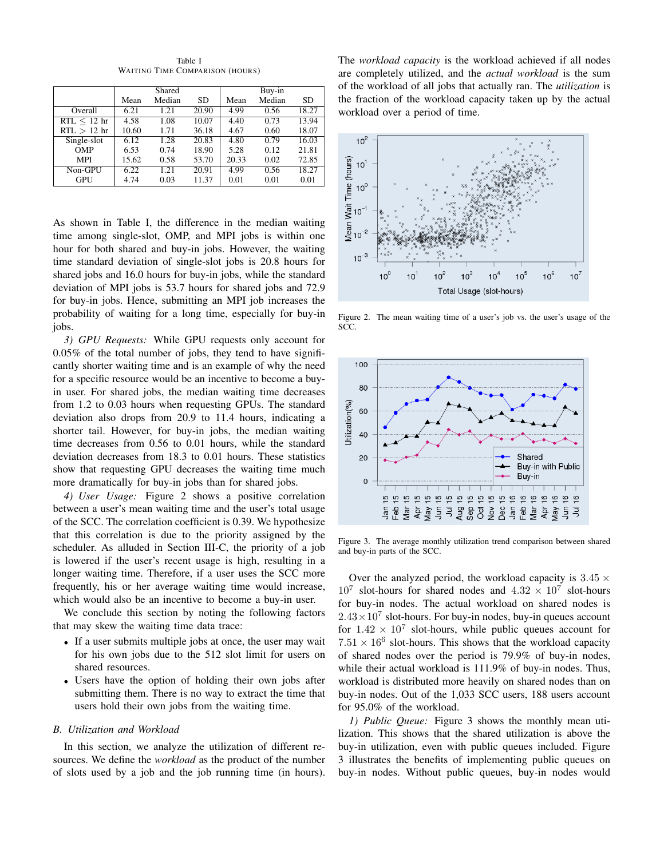Shared Buy-in<br>
Median SD Mean Median Mean Median SD Mean Median SD Overall 6.21 1.21 20.90 4.99 0.56 18.27  $RTL \le 12$  hr  $\begin{array}{|l} 4.58 \ 4.58 \ 1.08 \ 10.07 \ 4.40 \ 0.73 \ 13.94 \end{array}$ RTL  $> 12$  hr | 10.60 1.71 36.18 | 4.67 0.60 18.07 Single-slot 6.12 1.28 20.83 4.80 0.79 16.03 OMP | 6.53 0.74 18.90 | 5.28 0.12 21.81 MPI 15.62 0.58 53.70 20.33 0.02 72.85 Non-GPU 6.22 1.21 20.91 4.99 0.56 18.27<br>GPU 4.74 0.03 11.37 0.01 0.01 0.01 GPU 4.74 0.03 11.37 0.01 0.01 0.01

Table I WAITING TIME COMPARISON (HOURS)

As shown in Table I, the difference in the median waiting time among single-slot, OMP, and MPI jobs is within one hour for both shared and buy-in jobs. However, the waiting time standard deviation of single-slot jobs is 20.8 hours for shared jobs and 16.0 hours for buy-in jobs, while the standard deviation of MPI jobs is 53.7 hours for shared jobs and 72.9 for buy-in jobs. Hence, submitting an MPI job increases the probability of waiting for a long time, especially for buy-in jobs.

*3) GPU Requests:* While GPU requests only account for 0.05% of the total number of jobs, they tend to have significantly shorter waiting time and is an example of why the need for a specific resource would be an incentive to become a buyin user. For shared jobs, the median waiting time decreases from 1.2 to 0.03 hours when requesting GPUs. The standard deviation also drops from 20.9 to 11.4 hours, indicating a shorter tail. However, for buy-in jobs, the median waiting time decreases from 0.56 to 0.01 hours, while the standard deviation decreases from 18.3 to 0.01 hours. These statistics show that requesting GPU decreases the waiting time much more dramatically for buy-in jobs than for shared jobs.

*4) User Usage:* Figure 2 shows a positive correlation between a user's mean waiting time and the user's total usage of the SCC. The correlation coefficient is 0.39. We hypothesize that this correlation is due to the priority assigned by the scheduler. As alluded in Section III-C, the priority of a job is lowered if the user's recent usage is high, resulting in a longer waiting time. Therefore, if a user uses the SCC more frequently, his or her average waiting time would increase, which would also be an incentive to become a buy-in user.

We conclude this section by noting the following factors that may skew the waiting time data trace:

- If a user submits multiple jobs at once, the user may wait for his own jobs due to the 512 slot limit for users on shared resources.
- Users have the option of holding their own jobs after submitting them. There is no way to extract the time that users hold their own jobs from the waiting time.

## *B. Utilization and Workload*

In this section, we analyze the utilization of different resources. We define the *workload* as the product of the number of slots used by a job and the job running time (in hours). The *workload capacity* is the workload achieved if all nodes are completely utilized, and the *actual workload* is the sum of the workload of all jobs that actually ran. The *utilization* is the fraction of the workload capacity taken up by the actual workload over a period of time.



Figure 2. The mean waiting time of a user's job vs. the user's usage of the SCC.



Figure 3. The average monthly utilization trend comparison between shared and buy-in parts of the SCC.

Over the analyzed period, the workload capacity is  $3.45 \times$  $10^7$  slot-hours for shared nodes and  $4.32 \times 10^7$  slot-hours for buy-in nodes. The actual workload on shared nodes is  $2.43 \times 10^7$  slot-hours. For buy-in nodes, buy-in queues account for  $1.42 \times 10^7$  slot-hours, while public queues account for  $7.51 \times 16^6$  slot-hours. This shows that the workload capacity of shared nodes over the period is 79.9% of buy-in nodes, while their actual workload is 111.9% of buy-in nodes. Thus, workload is distributed more heavily on shared nodes than on buy-in nodes. Out of the 1,033 SCC users, 188 users account for 95.0% of the workload.

*1) Public Queue:* Figure 3 shows the monthly mean utilization. This shows that the shared utilization is above the buy-in utilization, even with public queues included. Figure 3 illustrates the benefits of implementing public queues on buy-in nodes. Without public queues, buy-in nodes would